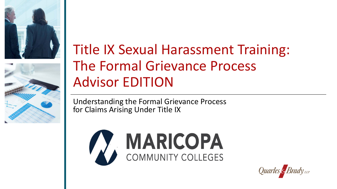



# Title IX Sexual Harassment Training: The Formal Grievance Process Advisor EDITION

 for Claims Arising Under Title IX Understanding the Formal Grievance Process



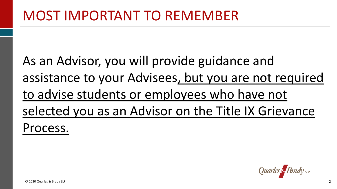As an Advisor, you will provide guidance and to advise students or employees who have not selected you as an Advisor on the Title IX Grievance assistance to your Advisees, but you are not required Process.

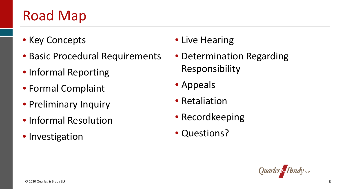# Road Map

- Key Concepts Live Hearing
- Basic Procedural Requirements Determination Regarding
- Informal Reporting **Constructs** Responsibility
- Formal Complaint Appeals
- Preliminary Inquiry  **Retaliation**
- Informal Resolution Recordkeeping
- Investigation Questions?
- 
- 
- 
- 
- 
- 

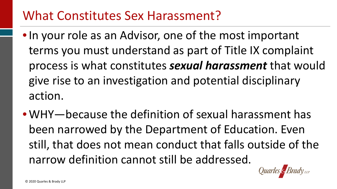#### What Constitutes Sex Harassment?

- • In your role as an Advisor, one of the most important terms you must understand as part of Title IX complaint give rise to an investigation and potential disciplinary process is what constitutes *sexual harassment* that would action.
- • WHY—because the definition of sexual harassment has been narrowed by the Department of Education. Even still, that does not mean conduct that falls outside of the narrow definition cannot still be addressed.

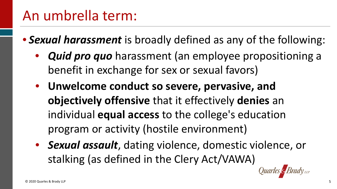## An umbrella term:

- • *Sexual harassment* is broadly defined as any of the following:
	- benefit in exchange for sex or sexual favors) • *Quid pro quo* harassment (an employee propositioning a
	- **Unwelcome conduct so severe, pervasive, and**  individual **equal access** to the college's education program or activity (hostile environment) **objectively offensive** that it effectively **denies** an
	- *Sexual assault*, dating violence, domestic violence, or stalking (as defined in the Clery Act/VAWA)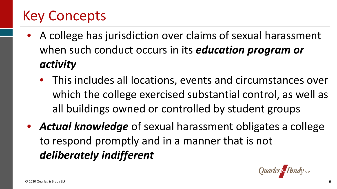# Key Concepts

- when such conduct occurs in its *education program or* • A college has jurisdiction over claims of sexual harassment *activity* 
	- This includes all locations, events and circumstances over which the college exercised substantial control, as well as all buildings owned or controlled by student groups
- • *Actual knowledge* of sexual harassment obligates a college to respond promptly and in a manner that is not *deliberately indifferent*

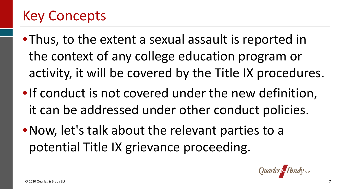# Key Concepts

- •Thus, to the extent a sexual assault is reported in the context of any college education program or activity, it will be covered by the Title IX procedures.
- •If conduct is not covered under the new definition, it can be addressed under other conduct policies.
- potential Title IX grievance proceeding. •Now, let's talk about the relevant parties to a

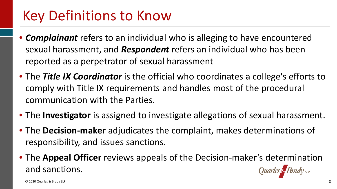## Key Definitions to Know

- • *Complainant* refers to an individual who is alleging to have encountered sexual harassment, and *Respondent* refers an individual who has been reported as a perpetrator of sexual harassment
- • The *Title IX Coordinator* is the official who coordinates a college's efforts to comply with Title IX requirements and handles most of the procedural communication with the Parties.
- The **Investigator** is assigned to investigate allegations of sexual harassment.
- • The **Decision-maker** adjudicates the complaint, makes determinations of responsibility, and issues sanctions.
- • The **Appeal Officer** reviews appeals of the Decision-maker's determination and sanctions.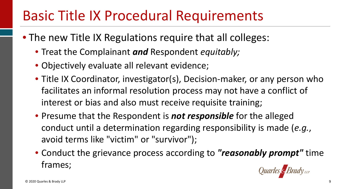# Basic Title IX Procedural Requirements

- • The new Title IX Regulations require that all colleges:
	- Treat the Complainant *and* Respondent *equitably;*
	- Objectively evaluate all relevant evidence;
	- • Title IX Coordinator, investigator(s), Decision-maker, or any person who facilitates an informal resolution process may not have a conflict of interest or bias and also must receive requisite training;
	- • Presume that the Respondent is *not responsible* for the alleged conduct until a determination regarding responsibility is made (*e.g.*, avoid terms like "victim" or "survivor");
	- • Conduct the grievance process according to *"reasonably prompt"* time frames;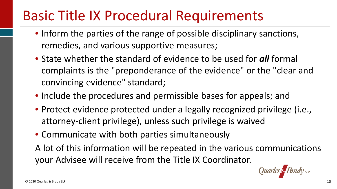# Basic Title IX Procedural Requirements

- • Inform the parties of the range of possible disciplinary sanctions, remedies, and various supportive measures;
- • State whether the standard of evidence to be used for *all* formal complaints is the "preponderance of the evidence" or the "clear and convincing evidence" standard;
- Include the procedures and permissible bases for appeals; and
- • Protect evidence protected under a legally recognized privilege (i.e., attorney-client privilege), unless such privilege is waived
- Communicate with both parties simultaneously
- A lot of this information will be repeated in the various communications your Advisee will receive from the Title IX Coordinator.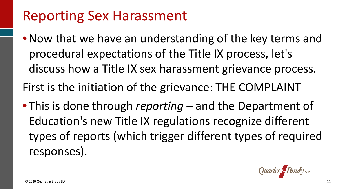#### Reporting Sex Harassment

- • Now that we have an understanding of the key terms and procedural expectations of the Title IX process, let's discuss how a Title IX sex harassment grievance process.
- First is the initiation of the grievance: THE COMPLAINT
- • This is done through *reporting* and the Department of Education's new Title IX regulations recognize different types of reports (which trigger different types of required responses).

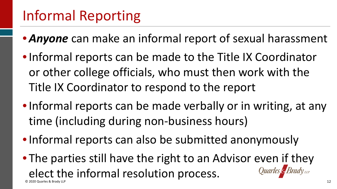# Informal Reporting

- *Anyone* can make an informal report of sexual harassment
- • Informal reports can be made to the Title IX Coordinator or other college officials, who must then work with the Title IX Coordinator to respond to the report
- • Informal reports can be made verbally or in writing, at any time (including during non-business hours)
- Informal reports can also be submitted anonymously
- The parties still have the right to an Advisor even if they elect the informal resolution process. © 2020 Quarles & Brady LLP 12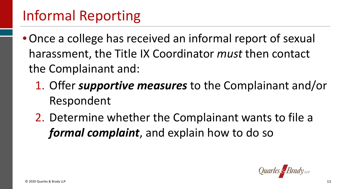# Informal Reporting

- • Once a college has received an informal report of sexual harassment, the Title IX Coordinator *must* then contact the Complainant and:
	- 1. Offer *supportive measures* to the Complainant and/or Respondent
	- 2. Determine whether the Complainant wants to file a *formal complaint*, and explain how to do so

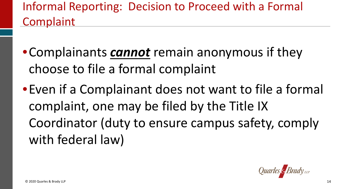#### Informal Reporting: Decision to Proceed with a Formal **Complaint**

- choose to file a formal complaint •Complainants *cannot* remain anonymous if they
- •Even if a Complainant does not want to file a formal complaint, one may be filed by the Title IX Coordinator (duty to ensure campus safety, comply with federal law)

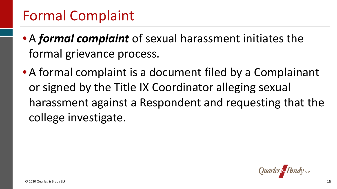#### Formal Complaint

- • A *formal complaint* of sexual harassment initiates the formal grievance process.
- or signed by the Title IX Coordinator alleging sexual harassment against a Respondent and requesting that the • A formal complaint is a document filed by a Complainant college investigate.

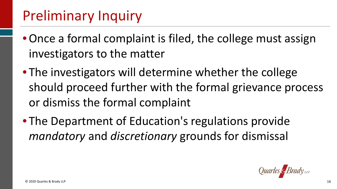# Preliminary Inquiry

- • Once a formal complaint is filed, the college must assign investigators to the matter
- should proceed further with the formal grievance process • The investigators will determine whether the college or dismiss the formal complaint
- • The Department of Education's regulations provide *mandatory* and *discretionary* grounds for dismissal

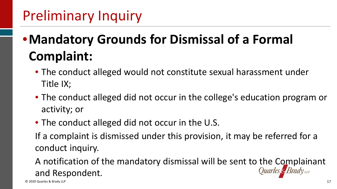# Preliminary Inquiry

# •**Mandatory Grounds for Dismissal of a Formal Complaint:**

- • The conduct alleged would not constitute sexual harassment under Title IX;
- • The conduct alleged did not occur in the college's education program or activity; or
- The conduct alleged did not occur in the U.S.

 If a complaint is dismissed under this provision, it may be referred for a conduct inquiry.

 A notification of the mandatory dismissal will be sent to the Complainant and Respondent.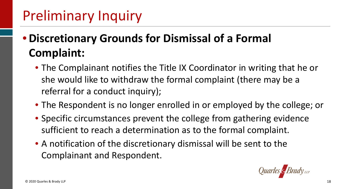# Preliminary Inquiry

#### • **Discretionary Grounds for Dismissal of a Formal Complaint:**

- • The Complainant notifies the Title IX Coordinator in writing that he or she would like to withdraw the formal complaint (there may be a referral for a conduct inquiry);
- The Respondent is no longer enrolled in or employed by the college; or
- sufficient to reach a determination as to the formal complaint. • Specific circumstances prevent the college from gathering evidence
- • A notification of the discretionary dismissal will be sent to the Complainant and Respondent.

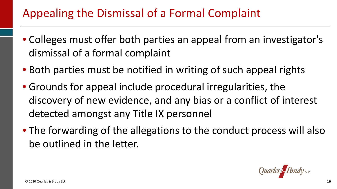#### Appealing the Dismissal of a Formal Complaint

- Colleges must offer both parties an appeal from an investigator's dismissal of a formal complaint
- Both parties must be notified in writing of such appeal rights
- discovery of new evidence, and any bias or a conflict of interest detected amongst any Title IX personnel • Grounds for appeal include procedural irregularities, the
- • The forwarding of the allegations to the conduct process will also be outlined in the letter.

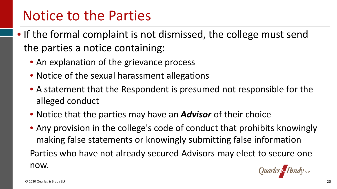#### Notice to the Parties

- • If the formal complaint is not dismissed, the college must send the parties a notice containing:
	- An explanation of the grievance process
	- Notice of the sexual harassment allegations
	- A statement that the Respondent is presumed not responsible for the alleged conduct
	- Notice that the parties may have an *Advisor* of their choice
	- • Any provision in the college's code of conduct that prohibits knowingly making false statements or knowingly submitting false information Parties who have not already secured Advisors may elect to secure one now.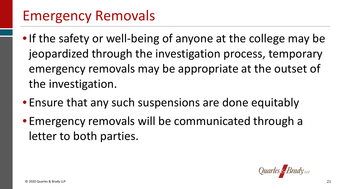#### Emergency Removals

- • If the safety or well-being of anyone at the college may be jeopardized through the investigation process, temporary emergency removals may be appropriate at the outset of the investigation.
- Ensure that any such suspensions are done equitably
- Emergency removals will be communicated through a letter to both parties.

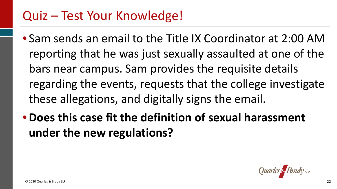- • Sam sends an email to the Title IX Coordinator at 2:00 AM reporting that he was just sexually assaulted at one of the bars near campus. Sam provides the requisite details these allegations, and digitally signs the email. regarding the events, requests that the college investigate
- **Does this case fit the definition of sexual harassment under the new regulations?**

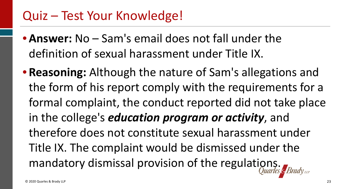- • **Answer:** No Sam's email does not fall under the definition of sexual harassment under Title IX.
- • **Reasoning:** Although the nature of Sam's allegations and the form of his report comply with the requirements for a formal complaint, the conduct reported did not take place  in the college's *education program or activity*, and Title IX. The complaint would be dismissed under the mandatory dismissal provision of the regulations. therefore does not constitute sexual harassment under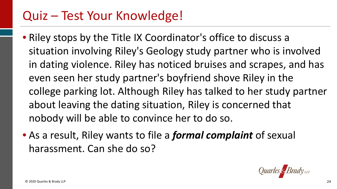- • Riley stops by the Title IX Coordinator's office to discuss a situation involving Riley's Geology study partner who is involved in dating violence. Riley has noticed bruises and scrapes, and has even seen her study partner's boyfriend shove Riley in the college parking lot. Although Riley has talked to her study partner about leaving the dating situation, Riley is concerned that nobody will be able to convince her to do so.
- • As a result, Riley wants to file a *formal complaint* of sexual harassment. Can she do so?

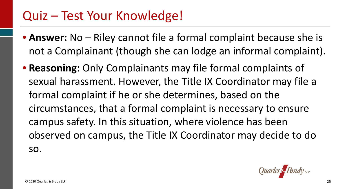- • **Answer:** No Riley cannot file a formal complaint because she is not a Complainant (though she can lodge an informal complaint).
- • **Reasoning:** Only Complainants may file formal complaints of formal complaint if he or she determines, based on the circumstances, that a formal complaint is necessary to ensure campus safety. In this situation, where violence has been observed on campus, the Title IX Coordinator may decide to do sexual harassment. However, the Title IX Coordinator may file a so.

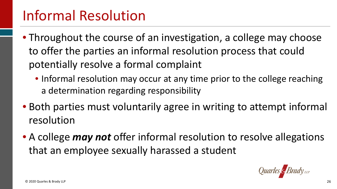## Informal Resolution

- • Throughout the course of an investigation, a college may choose to offer the parties an informal resolution process that could potentially resolve a formal complaint
	- • Informal resolution may occur at any time prior to the college reaching a determination regarding responsibility
- • Both parties must voluntarily agree in writing to attempt informal resolution
- • A college *may not* offer informal resolution to resolve allegations that an employee sexually harassed a student

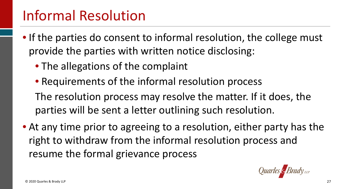## Informal Resolution

- • If the parties do consent to informal resolution, the college must provide the parties with written notice disclosing:
	- The allegations of the complaint
	- Requirements of the informal resolution process
	- The resolution process may resolve the matter. If it does, the parties will be sent a letter outlining such resolution.
- • At any time prior to agreeing to a resolution, either party has the right to withdraw from the informal resolution process and resume the formal grievance process

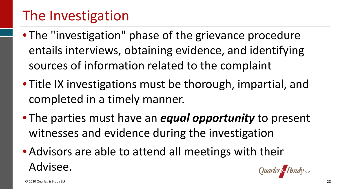## The Investigation

- • The "investigation" phase of the grievance procedure sources of information related to the complaint entails interviews, obtaining evidence, and identifying
- • Title IX investigations must be thorough, impartial, and completed in a timely manner.
- • The parties must have an *equal opportunity* to present witnesses and evidence during the investigation
- • Advisors are able to attend all meetings with their Advisee.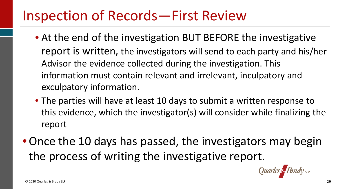#### Inspection of Records—First Review

- report is written, the investigators will send to each party and his/her Advisor the evidence collected during the investigation. This information must contain relevant and irrelevant, inculpatory and • At the end of the investigation BUT BEFORE the investigative exculpatory information.
- • The parties will have at least 10 days to submit a written response to this evidence, which the investigator(s) will consider while finalizing the report
- • Once the 10 days has passed, the investigators may begin the process of writing the investigative report.

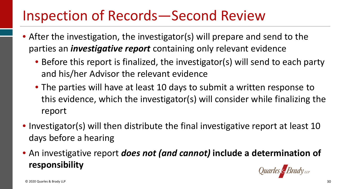## Inspection of Records—Second Review

- • After the investigation, the investigator(s) will prepare and send to the parties an *investigative report* containing only relevant evidence
	- • Before this report is finalized, the investigator(s) will send to each party and his/her Advisor the relevant evidence
	- • The parties will have at least 10 days to submit a written response to this evidence, which the investigator(s) will consider while finalizing the report
- • Investigator(s) will then distribute the final investigative report at least 10 days before a hearing
- An investigative report *does not (and cannot)* **include a determination of responsibility**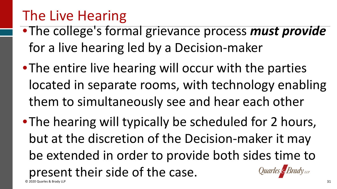# The Live Hearing

- •The college's formal grievance process *must provide*  for a live hearing led by a Decision-maker
- •The entire live hearing will occur with the parties located in separate rooms, with technology enabling them to simultaneously see and hear each other
- •The hearing will typically be scheduled for 2 hours, be extended in order to provide both sides time to but at the discretion of the Decision-maker it may present their side of the case. © 2020 Quarles & Brady LLP 31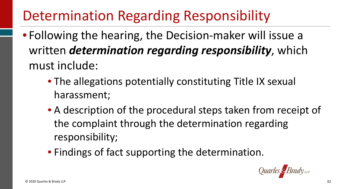# Determination Regarding Responsibility

- Following the hearing, the Decision-maker will issue a written *determination regarding responsibility*, which must include:
	- • The allegations potentially constituting Title IX sexual harassment;
	- • A description of the procedural steps taken from receipt of the complaint through the determination regarding responsibility;
	- Findings of fact supporting the determination.

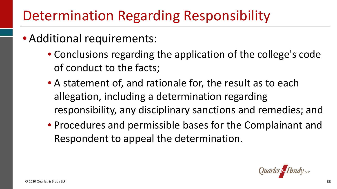# Determination Regarding Responsibility

- Additional requirements:
	- Conclusions regarding the application of the college's code of conduct to the facts;
	- • A statement of, and rationale for, the result as to each allegation, including a determination regarding responsibility, any disciplinary sanctions and remedies; and
	- • Procedures and permissible bases for the Complainant and Respondent to appeal the determination.

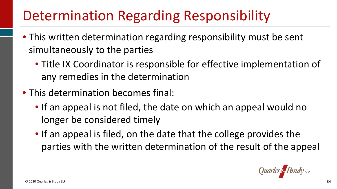# Determination Regarding Responsibility

- • This written determination regarding responsibility must be sent simultaneously to the parties
	- • Title IX Coordinator is responsible for effective implementation of any remedies in the determination
- This determination becomes final:
	- • If an appeal is not filed, the date on which an appeal would no longer be considered timely
	- • If an appeal is filed, on the date that the college provides the parties with the written determination of the result of the appeal

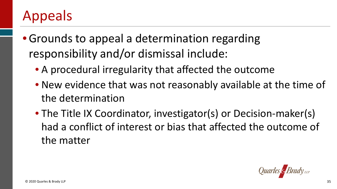## Appeals

- • Grounds to appeal a determination regarding responsibility and/or dismissal include:
	- A procedural irregularity that affected the outcome
	- • New evidence that was not reasonably available at the time of the determination
	- had a conflict of interest or bias that affected the outcome of • The Title IX Coordinator, investigator(s) or Decision-maker(s) the matter

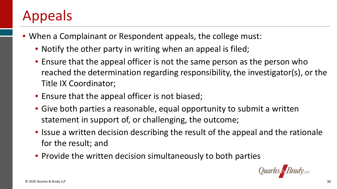## Appeals

- • When a Complainant or Respondent appeals, the college must:
	- Notify the other party in writing when an appeal is filed;
	- reached the determination regarding responsibility, the investigator(s), or the • Ensure that the appeal officer is not the same person as the person who Title IX Coordinator;
	- Ensure that the appeal officer is not biased;
	- • Give both parties a reasonable, equal opportunity to submit a written statement in support of, or challenging, the outcome;
	- • Issue a written decision describing the result of the appeal and the rationale for the result; and
	- Provide the written decision simultaneously to both parties

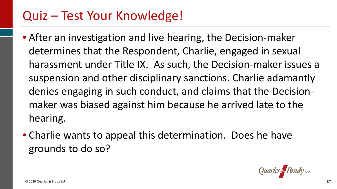- suspension and other disciplinary sanctions. Charlie adamantly denies engaging in such conduct, and claims that the Decision- maker was biased against him because he arrived late to the • After an investigation and live hearing, the Decision-maker determines that the Respondent, Charlie, engaged in sexual harassment under Title IX. As such, the Decision-maker issues a hearing.
- • Charlie wants to appeal this determination. Does he have grounds to do so?

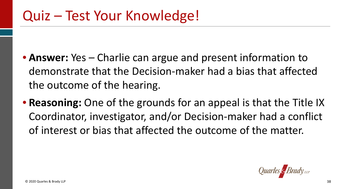- • **Answer:** Yes Charlie can argue and present information to demonstrate that the Decision-maker had a bias that affected the outcome of the hearing.
- • **Reasoning:** One of the grounds for an appeal is that the Title IX Coordinator, investigator, and/or Decision-maker had a conflict of interest or bias that affected the outcome of the matter.

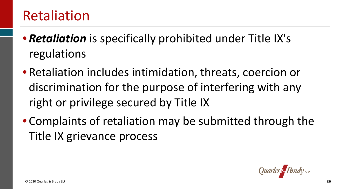#### Retaliation

- • *Retaliation* is specifically prohibited under Title IX's regulations
- • Retaliation includes intimidation, threats, coercion or discrimination for the purpose of interfering with any right or privilege secured by Title IX
- • Complaints of retaliation may be submitted through the Title IX grievance process